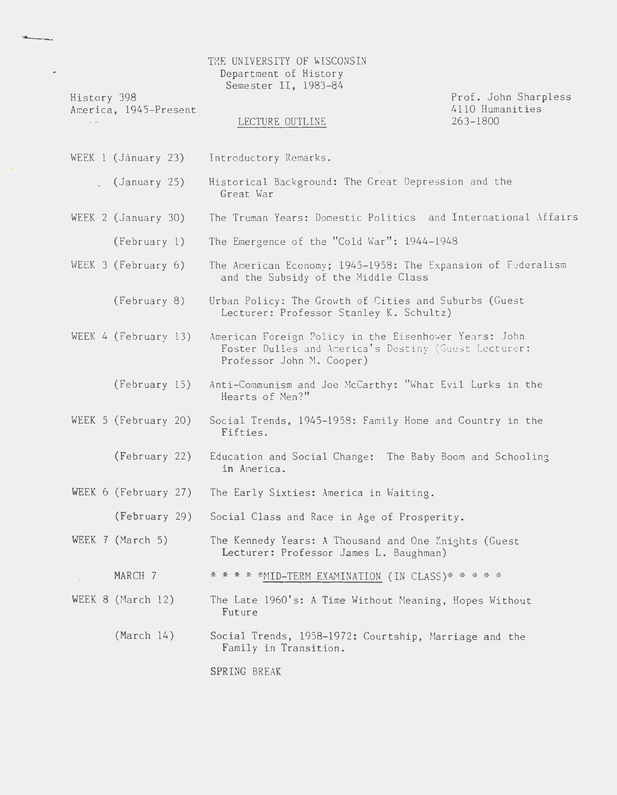## THE UNIVERSITY OF WISCONSIN Department of History Semester II, 1983-84

History 398 America, 1945-Present

#### LECTURE OUTLINE

Prof. John Sharpless 4110 Humanities  $263 - 1800$ 

- WEEK 1 (January 23) Introductory Remarks.
	- $(January 25)$ Historical Background: The Great Depression and the Great War
- The Truman Years: Domestic Politics and International Affairs WEEK 2 (January 30)
	- (February 1) The Emergence of the "Cold War": 1944-1948
- WEEK 3 (February 6) The American Economy; 1945-1958: The Expansion of Federalism and the Subsidy of the Middle Class
	- (February 8) Urban Policy: The Growth of Cities and Suburbs (Guest Lecturer: Professor Stanley K. Schultz)
- WEEK 4 (February 13) American Foreign Policy in the Eisenhower Years: John Foster Dulles and America's Destiny (Guest Lecturer: Professor John M. Cooper)
	- (February 15) Anti-Communism and Joe McCarthy: "What Evil Lurks in the Hearts of Men?"
- WEEK 5 (February 20) Social Trends, 1945-1958: Family Home and Country in the Fifties.
	- (February 22) Education and Social Change: The Baby Boom and Schooling in America.
- WEEK  $6$  (February 27) The Early Sixties: America in Waiting.

(February 29) Social Class and Race in Age of Prosperity.

- WEEK  $7$  (March 5) The Kennedy Years: A Thousand and One Knights (Guest Lecturer: Professor James L. Baughman)
	- MARCH 7 \* \* \* \* \*MID-TERM EXAMINATION (IN CLASS)\* \* \* \* \*
- WEEK 8 (March 12) The Late 1960's: A Time Without Meaning, Hopes Without Future
	- $(March 14)$ Social Trends, 1958-1972: Courtship, Marriage and the Family in Transition.

SPRING BREAK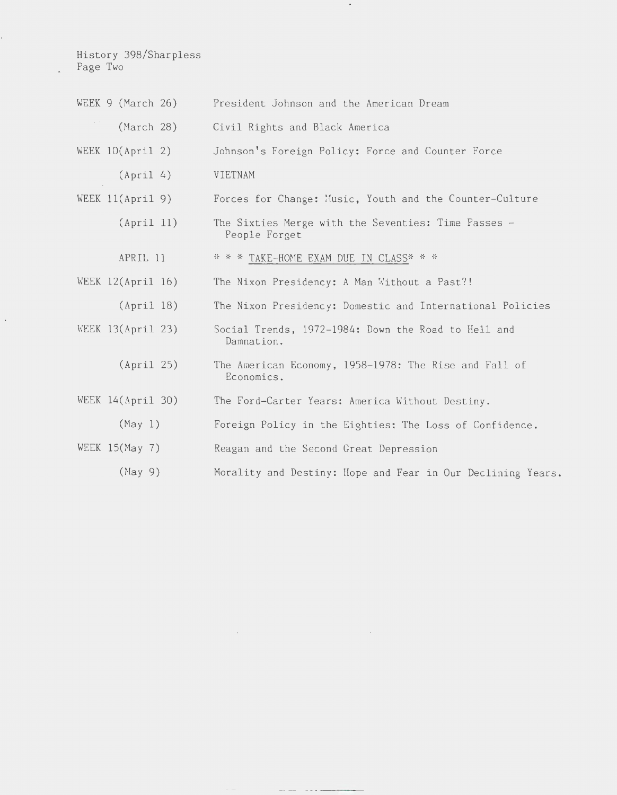History 398/Sharpless Page Two

 $\epsilon$ 

|             | WEEK $9$ (March 26) | President Johnson and the American Dream                             |
|-------------|---------------------|----------------------------------------------------------------------|
| $\lambda$ . | March 28)           | Civil Rights and Black America                                       |
|             | WEEK $10(Apri1 2)$  | Johnson's Foreign Policy: Force and Counter Force                    |
|             | (Apri1 4)           | VIETNAM                                                              |
|             | WEEK $11(Apri1 9)$  | Forces for Change: Music, Youth and the Counter-Culture              |
|             | (Apri1 11)          | The Sixties Merge with the Seventies: Time Passes -<br>People Forget |
|             | APRIL 11            | * * * TAKE-HOME EXAM DUE IN CLASS* * *                               |
|             | WEEK $12(Apri1 16)$ | The Nixon Presidency: A Man Without a Past?!                         |
|             | (Apri1 18)          | The Nixon Presidency: Domestic and International Policies            |
|             | WEEK $13(Apri1 23)$ | Social Trends, 1972-1984: Down the Road to Hell and<br>Damnation.    |
|             | (Apri1 25)          | The American Economy, 1958-1978: The Rise and Fall of<br>Economics.  |
|             | WEEK 14(April 30)   | The Ford-Carter Years: America Without Destiny.                      |
|             | (May 1)             | Foreign Policy in the Eighties: The Loss of Confidence.              |
|             | WEEK 15(May 7)      | Reagan and the Second Great Depression                               |
|             | (May 9)             | Morality and Destiny: Hope and Fear in Our Declining Years.          |

 $\sim$ 

 $\epsilon$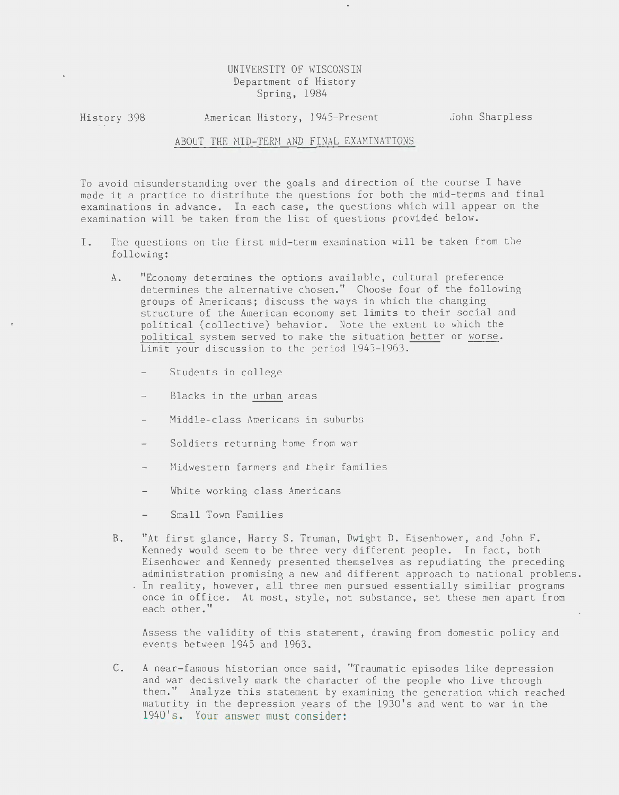# UNIVERSITY OF WISCONS IN Department of History Spring, 1984

History 398 American History, 1945-Present John Sharpless

## ABOUT THE MID-TERM AND FINAL EXAMINATIONS

To avoid misunderstanding over the goals and direction of the course I have made it a practice to distribute the questions for both the mid-terms and final examinations in advance. In each case, the questions which will appear on the examination will be taken from the list of questions provided below.

- I. The questions on the first mid-term examination will be taken from the following:
	- A. "Economy determines the options available, cultural preference determines the alternative chosen." Choose four of the following groups of Americans; discuss the ways in which the changing structure of the American economy set limits to their social and political (collective) behavior. Note the extent to which the political system served to make the situation better or worse. Limit your discussion to the period 1945-1963.
		- Students in college
		- Blacks in the urban areas
		- Middle-class Americans in suburbs
		- Soldiers returning home from war
		- Midwestern farmers and their families
		- White working class Americans
		- Small Town Families
	- B. "At first glance, Harry S. Truman, Dwight D. Eisenhower, and John F. Kennedy would seem to be three very different people. In fact, both Eisenhower and Kennedy presented themselves as repudiating the preceding administration promising a new and different approach to national problems. . In reality, however, all three men pursued essentially similiar programs once in office. At most, style, not substance, set these men apart from each other."

Assess the validity of this statement, drawing from domestic policy and events between 1945 and 1963.

C. A near-famous historian once said, "Traumatic episodes like depression and war decisively mark the character of the people who live through them." Analyze this statement by examining the generation which reached maturity in the depression years of the 1930's and went to war in the 1940's. Your answer must consider: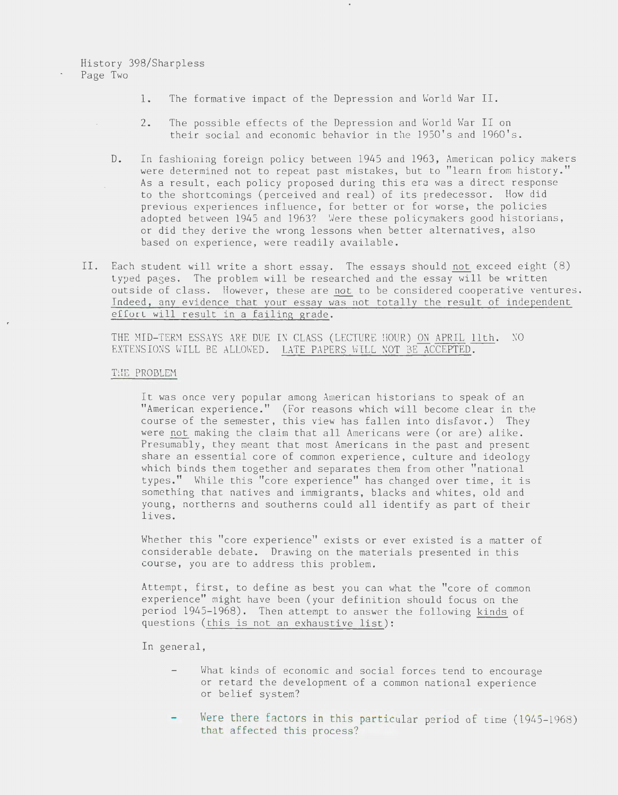# History 398/Sharpless Page Two

- 1. The formative impact of the Depression and World War II.
- 2. The possible effects of the Depression and World War II on their social and economic behavior in the 1950's and 1960's.
- D. In fashioning foreign policy between 1945 and 1963, American policy makers were determined not to repeat past mistakes, but to "learn from history." As a result, each policy proposed during this era was a direct response  $\hat{\mathcal{L}}$ to the shortcomings (perceived and real) of its predecessor. How did previous experiences influence, for better or for worse, the policies adopted between 1945 and 1963? Were these policymakers good historians, or did they derive the wrong lessons when better alternatives, also based on experience, were readily available.
- II. Each student will write a short essay. The essays should not exceed eight (8) typed pages. The problem will be researched and the essay will be written outside of class. However, these are not to be considered cooperative ventures. Indeed, any evidence that your essay was not totally the result of independent effort will result in a failing grade.

THE MID-TERM ESSAYS ARE DUE IN CLASS (LECTURE ! HOUR) ON APRIL 11th. NO EXTENSIONS WILL BE ALLOWED. LATE PAPERS WILL NOT BE ACCEPTED.

### THE PROBLEM

It was once very popular among American historians to speak of an "American experience." (For reasons which will become clear in the course of the semester, this view has fallen into disfavor.) They were not making the claim that all Americans were (or are) alike. Presumably, they meant that most Americans in the past and present share an essential core of common experience, culture and ideology which binds them together and separates them from other ''national types." While this "core experience" has changed over time, it is something that natives and immigrants, blacks and whites, old and young, northerns and southerns could all identify as part of their lives.

Whether this "core experience" exists or ever existed is a matter of considerable debate. Drawing on the materials presented in this course, you are to address this problem.

Attempt, first, to define as best you can what the "core of common experience" might have been (your definition should focus on the period 1945-1968). Then attempt to answer the following kinds of questions (this is not an exhaustive list):

In general,

- What kinds of economic and social forces tend to encourage or retard the development of a common national experience or belief system?
- Were there factors in this particular period of time (1945-1968) that affected this process?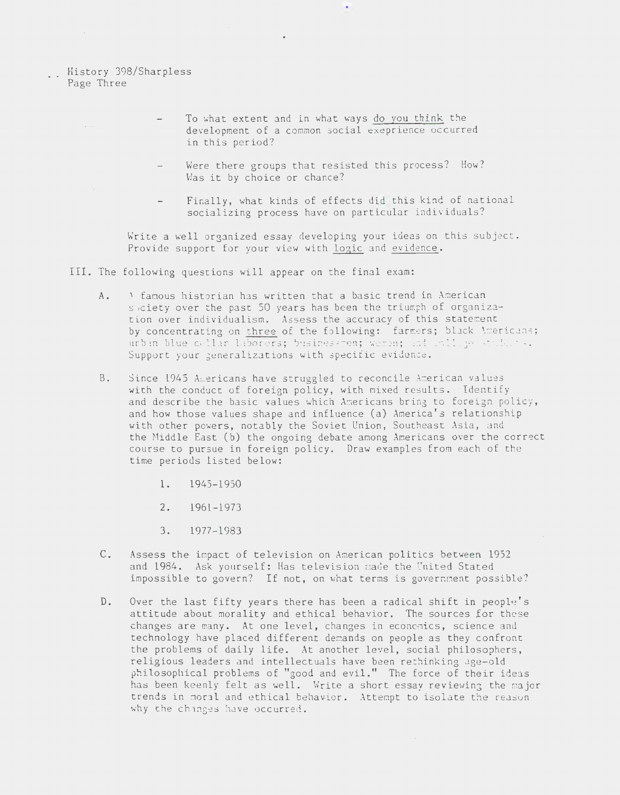History 398/Sharpless Page Three

 $\sim$ 

 $\mathbb{R}^{n \times n}$ 

- To what extent and in what ways do you think the develepment of a common social exeprience occurred in this period?
	- Were there groups that resisted this process? How? Was it by choice or chance?
	- Finally, what kinds of effects did this kind of national socializing process have on particular individuals?

Write a well organized essay developing your ideas on this subject. Provide support for your view with logic and evidence.

III. The following questions will appear on the final exam:

- A. A famous historian has written that a basic trend in American s ociety over the past 50 years has been the triumph of organization over individualism. Assess the accuracy of this statement by concentrating on three of the following: farmers; black Americans; urban blue collar laborers; businessmen; wemen; and collige students. Support your generalizations with specific evidence.
- B. Since 1945 Americans have struggled to reconcile American values with the conduct of foreign policy, with mixed results. Identify and describe the basic values which Americans bring to foreign policy, and how those values shape and influence (a) America's relationship with other powers, notably the Soviet Union, Southeast Asia, and the Middle East (b) the ongoing debate among Americans over the correct course to pursue in foreign policy. Draw examples from each of the time periods listed below:
	- 1. 1945-1950
	- 2. 1961-1973
	- 3. 1977-1983
- c. Assess the impact of television on American politics between 1952 and 1984. Ask yourself: Has television made the United Stated impossible to govern? If not, on what terms is government possible?
- D. Over the last fifty years there has been a radical shift in people 's attitude about morality and ethical behavior. The sources for these changes are many. At one level, changes in economics, science and technology have placed different demands on people as they confront the problems of daily life. At another level, social philosophers, religious leaders and intellectuals have been rethinking age-old philosophical problems of "good and evil." The force of their ideas has been keenly felt as well. Write a short essay reviewing the major trends in moral and ethical behavior. Attempt to isolate the reason why the changes have occurred.